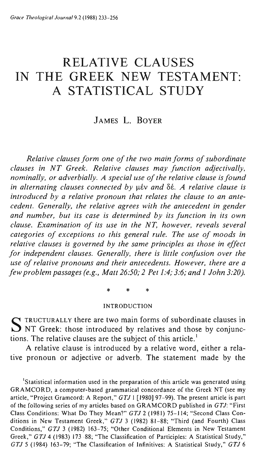# **RELATIVE CLAUSES IN THE GREEK NEW TESTAMENT: A STATISTICAL STUDY**

# JAMES L. BOYER

*Relative clauses form one of the two main forms of subordinate clauses in NT Greek. Relative clauses may function adjectivally, nominally, or adverbially. A special use of the relative clause is found in alternating clauses connected by µ/v and*  $\delta$ *//e. A relative clause is introduced by a relative pronoun that relates the clause to an antecedent. Generally, the relative agrees with the antecedent in gender and number, but its case is determined by its function in its own clause. Examination of its use in the NT, however, reveals several categories of exceptions to this general rule. The use of moods in relative clauses is governed by the same principles as those in effect for independent clauses. Generally, there is little confusion over the use of relative pronouns and their antecedents. However, there are a few problem passages (e.g., Matt 26:50;* 2 *Pet* 1:4; 3:6; *and* 1 *John 3:20).* 

\* \* \*

#### INTRODUCTION

STRUCTURALLY there are two main forms of subordinate clauses in NT Greek: those introduced by relatives and those by conjunctions. The relative clauses are the subject of this article.<sup>1</sup>

A relative clause is introduced by a relative word, either a relative pronoun or adjective or adverb. The statement made by the

<sup>1</sup>Statistical information used in the preparation of this article was generated using GRAMCORD, a computer-based grammatical concordance of the Greek NT (see my article, "Project Gramcord: A Report," GTJ I [1980] 97-99). The present article is part of the following series of my articles based on GRAMCORD published in GTJ: "First Class Conditions: What Do They Mean?" GTJ 2 (1981) 75-114; "Second Class Conditions in New Testament Greek," GTJ 3 (1982) 81-88; "Third (and Fourth) Class Conditions," GTJ 3 (1982) 163-75; "Other Conditional Elements in New Testament Greek," GTJ 4 (1983) 173- 88; "The Classification of Participles: A Statistical Study," GTJ 5 (1984) 163-79; "The Classification of Infinitives: A Statistical Study," GTJ 6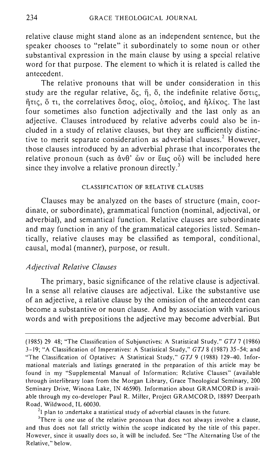relative clause might stand alone as an independent sentence, but the speaker chooses to "relate" it subordinately to some noun or other substantival expression in the main clause by using a special relative word for that purpose. The element to which it is related is called the antecedent.

The relative pronouns that will be under consideration in this study are the regular relative,  $\delta \varsigma$ ,  $\eta$ ,  $\delta$ , the indefinite relative  $\delta \sigma \tau \varsigma$ , ilne;, 0 n, the correlatives *oaoe;,* oloe;, onotOe;, and llA1Koe;. The last four sometimes also function adjectivally and the last only as an adjective. Clauses introduced by relative adverbs could also be included in a study of relative clauses, but they are sufficiently distinctive to merit separate consideration as adverbial clauses.<sup>2</sup> However, those clauses introduced by an adverbial phrase that incorporates the relative pronoun (such as  $\dot{\alpha}v\theta$ '  $\dot{\omega}v$  or  $\epsilon\omega\zeta$  ov) will be included here since they involve a relative pronoun directly.<sup>3</sup>

### CLASSIFICATION OF RELATIVE CLAUSES

Clauses may be analyzed on the bases of structure (main, coordinate, or subordinate), grammatical function (nominal, adjectival, or adverbial), and semantical function. Relative clauses are subordinate and may function in any of the grammatical categories listed. Semantically, relative clauses may be classified as temporal, conditional, causal, modal (manner), purpose, or result.

#### *Adjectival Relative Clauses*

The primary, basic significance of the relative clause is adjectival. In a sense all relative clauses are adjectival. Like the substantive use of an adjective, a relative clause by the omission of the antecedent can become a substantive or noun clause. And by association with various words and with prepositions the adjective may become adverbial. But

 $^{2}$ l plan to undertake a statistical study of adverbial clauses in the future.

<sup>(1985) 29-</sup> 48; "The Classification of Subjunctives: A Statistical Study," GTJ 7 (1986) 3-19; "A Classification of Imperatives: A Statistical Study," GTJ 8 (1987) 35-54; and "The Classification of Optatives: A Statistical Study," GTJ 9 (1988) 129-40. Informational materials and listings generated in the preparation of this article may be found in my "Supplemental Manual of Information: Relative Clauses" (available through interlibrary loan from the Morgan Library, Grace Theological Seminary, 200 Seminary Drive, Winona Lake, IN 46590). Information about GRAMCORD is available through my co-developer Paul R. Miller, Project GRAMCORD, 18897 Deerpath Road, Wildwood, IL 60030.

<sup>&</sup>lt;sup>3</sup>There is one use of the relative pronoun that does not always involve a clause, and thus does not fall strictly within the scope indicated by the title of this paper. However, since it usually does so, it will be included. See "The Alternating Use of the Relative," below.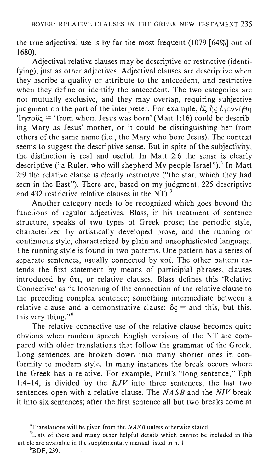the true adjectival use is by far the most frequent (1079 [64%] out of 1680).

Adjectival relative clauses may be descriptive or restrictive (identifying), just as other adjectives. Adjectival clauses are descriptive when they ascribe a quality or attribute to the antecedent, and restrictive when they define or identify the antecedent. The two categories are not mutually exclusive, and they may overlap, requiring subjective judgment on the part of the interpreter. For example,  $\&$   $\tilde{f}$   $\sim$   $\&$   $\tilde{f}$   $\sim$   $\&$   $\vee$  $\vee$  $\vee$  $\wedge$  $\theta$ n  $\tilde{C}$ In $\sigma$ <sub>0</sub> = 'from whom Jesus was born' (Matt 1:16) could be describing Mary as Jesus' mother, or it could be distinguishing her from others of the same name (i.e., the Mary who bore Jesus). The context seems to suggest the descriptive sense. But in spite of the subjectivity, the distinction is real and useful. In Matt  $2.6$  the sense is clearly descriptive ("a Ruler, who will shepherd My people Israel").<sup>4</sup> In Matt 2:9 the relative clause is clearly restrictive ("the star, which they had seen in the East"). There are, based on my judgment, 225 descriptive and 432 restrictive relative clauses in the NT $i$ <sup>5</sup>

Another category needs to be recognized which goes beyond the functions of regular adjectives. Blass, in his treatment of sentence structure, speaks of two types of Greek prose; the periodic style, characterized by artistically developed prose, and the running or continuous style, characterized by plain and unsophisticated language. The running style is found in two patterns. One pattern has a series of separate sentences, usually connected by  $\kappa\alpha i$ . The other pattern extends the first statement by means of participial phrases, clauses introduced by  $\delta\tau$ , or relative clauses. Blass defines this 'Relative Connective' as "a loosening of the connection of the relative clause to the preceding complex sentence; something intermediate between a relative clause and a demonstrative clause:  $\delta \zeta =$  and this, but this, this very thing." $6$ 

The relative connective use of the relative clause becomes quite obvious when modern speech English versions of the NT are compared with older translations that follow the grammar of the Greek. Long sentences are broken down into many shorter ones in conformity to modern style. In many instances the break occurs where the Greek has a relative. For example, Paul's "long sentence," Eph 1:4-14, is divided by the  $KJV$  into three sentences; the last two sentences open with a relative clause. The *NASB* and the *NIV* break it into six sentences; after the first sentence all but two breaks come at

<sup>&</sup>lt;sup>4</sup>Translations will be given from the  $NASB$  unless otherwise stated.

 $<sup>5</sup>$ Lists of these and many other helpful details which cannot be included in this</sup> article are available in the supplementary manual listed in n. 1.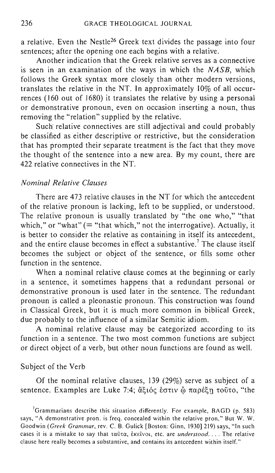a relative. Even the Nestle26 Greek text divides the passage into four sentences; after the opening one each begins with a relative.

Another indication that the Greek relative serves as a connective is seen in an examination of the ways in which the *NASB,* which follows the Greek syntax more closely than other modern versions, translates the relative in the NT. In approximately 10% of all occurrences (160 out of 1680) it translates the relative by using a personal or demonstrative pronoun, even on occasion inserting a noun, thus removing the "relation" supplied by the relative.

Such relative connectives are still adjectival and could probably be classified as either descriptive or restrictive, but the consideration that has prompted their separate treatment is the fact that they move the thought of the sentence into a new area. By my count, there are 422 relative connectives in the NT.

# *Nominal Relative Clauses*

There are 473 relative clauses in the NT for which the antecedent of the relative pronoun is lacking, left to be supplied, or understood. The relative pronoun is usually translated by "the one who," "that which," or "what" (= "that which," not the interrogative). Actually, it is better to consider the relative as containing in itself its antecedent, and the entire clause becomes in effect a substantive.<sup>7</sup> The clause itself becomes the subject or object of the sentence, or fills some other function in the sentence.

When a nominal relative clause comes at the beginning or early in a sentence, it sometimes happens that a redundant personal or demonstrative pronoun is used later in the sentence. The redundant pronoun is called a pleonastic pronoun. This construction was found in Classical Greek, but it is much more common in biblical Greek, due probably to the influence of a similar Semitic idiom.

A nominal relative clause may be categorized according to its function in a sentence. The two most common functions are subject or direct object of a verb, but other noun functions are found as well.

#### SUbject of the Verb

Of the nominal relative clauses, 139 (29%) serve as subject of a sentence. Examples are Luke 7:4; ἄξιός έστιν <u>φ</u> παρέξη τοῦτο, "the

<sup>&</sup>lt;sup>7</sup>Grammarians describe this situation differently. For example, BAGD (p. 583) says, "A demonstrative pron. is freq. concealed within the relative pron." But W. W. Goodwin *(Greek Grammar,* rev. C. B. Gulick [Boston: Ginn, 1930] 219) says, "In such cases it is a mistake to say that ταῦτα, ἐκεῖνοι, etc. are *understood.* . . . The relative clause here really becomes a substantive, and contains its antecedent within itself."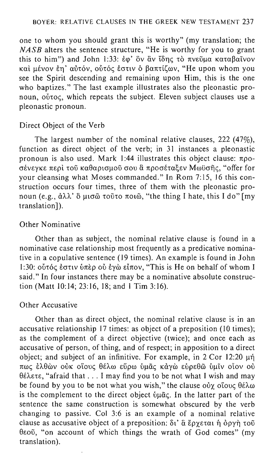one to whom you should grant this is worthy" (my translation; the *NASB* alters the sentence structure, "He is worthy for you to grant this to him") and John 1:33: έφ' ὃν ἂν ἴδης τὸ πνεῦμα καταβαῖνον και μένον εη' αύτόν, ούτός έστιν ο βαπτίζων, "He upon whom you see the Spirit descending and remaining upon Him, this is the one who baptizes." The last example illustrates also the pleonastic pronoun,  $\overrightarrow{0}$  volc. which repeats the subject. Eleven subject clauses use a pleonastic pronoun.

#### Direct Object of the Verb

The largest number of the nominal relative clauses, 222 (47%), function as direct object of the verb; in 31 instances a pleonastic pronoun is also used. Mark 1:44 illustrates this object clause:  $\pi \rho o$ -.<br>σένεγκε περί τοῦ καθαρισμοῦ σου ἃ προσέταξεν Μωϋσῆς, "offer for your cleansing what Moses commanded." In Rom 7: 15, 16 this construction occurs four times, three of them with the pleonastic pronoun (e.g., άλλ' δ μισῶ τοῦτο ποιῶ, "the thing I hate, this I do" [my translation]).

### Other Nominative

Other than as subject, the nominal relative clause is found in a nominative case relationship most frequently as a predicative nominative in a copulative sentence (19 times). An example is found in John 1:30: ούτός έστιν ύπερ ού έγὼ είπον, "This is He on behalf of whom I said." In four instances there may be a nominative absolute construction (Matt 10:14; 23:16, 18; and 1 Tim 3:16).

#### Other Accusative

Other than as direct object, the nominal relative clause is in an accusative relationship 17 times: as object of a preposition (10 times); as the complement of a direct objective (twice); and once each as accusative of person, of thing, and of respect; in apposition to a direct object; and subject of an infinitive. For example, in  $2$  Cor 12:20  $\mu$ n πως έλθων ούκ οΐους θέλω εύρω ύμας κάγω εύρεθω ύμιν οίον ού  $\theta$ έλετε, "afraid that ... I may find you to be not what I wish and may be found by you to be not what you wish," the clause  $\omega \chi$  oloog  $\theta \hat{\epsilon} \lambda \omega$ is the complement to the direct object  $\hat{v} \mu \tilde{\alpha} \zeta$ . In the latter part of the sentence the same construction is somewhat obscured by the verb changing to passive. Col 3:6 is an example of a nominal relative clause as accusative object of a preposition:  $\delta t$   $\delta \epsilon \rho \gamma \epsilon \tau \alpha t$   $\eta \delta \rho \gamma \eta \tau \sigma \tilde{v}$ θεοῦ, "on account of which things the wrath of God comes" (my translation).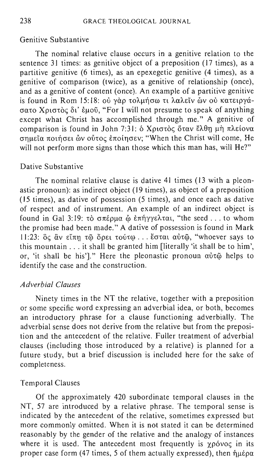# Genitive Substantive

The nominal relative clause occurs in a genitive relation to the sentence 31 times: as genitive object of a preposition (17 times), as a partitive genitive (6 times), as an epexegetic genitive (4 times), as a genitive of comparison (twice), as a genitive of relationship (once), and as a genitive of content (once). An example of a partitive genitive is found in Rom 15:18:  $\omega \rightarrow \alpha \lambda \mu + \alpha \lambda \epsilon$ iv  $\omega \rightarrow \alpha \epsilon$ σατο Χριστὸς δι' ἐμοῦ, "For I will not presume to speak of anything except what Christ has accomplished through me." A genitive of comparison is found in John 7:31:  $\delta$  Χριστος όταν έλθη μη πλείονα σημεία ποιήσει ών ούτος έποίησεν; "When the Christ will come, He will not perform more signs than those which this man has, will He?"

### Dative Substantive

The nominal relative clause is dative 41 times (13 with a pleonastic pronoun): as indirect object (19 times), as object of a preposition (15 times), as dative of possession (5 times), and once each as dative of respect and of instrument. An example of an indirect object is found in Gal 3:19: τὸ σπέρμα ὦ ἐπήγγελται, "the seed ... to whom the promise had been made." A dative of possession is found in Mark  $11:23$ : ὃς ἂν εἴπη τῶ ὄρει τούτω ... ἔσται αὐτῶ, "whoever says to this mountain ... it shall be granted him [literally 'it shall be to him', or, 'it shall be his']." Here the pleonastic pronoun  $\alpha\beta\tau\tilde{\omega}$  helps to identify the case and the construction.

# *Adverbial Clauses*

Ninety times in the NT the relative, together with a preposition or some specific word expressing an adverbial idea, or both, becomes an introductory phrase for a clause functioning adverbially. The adverbial sense does not derive from the relative but from the preposition and the antecedent of the relative. Fuller treatment of adverbial clauses (including those introduced by a relative) is planned for a future study, but a brief discussion is included here for the sake of completeness.

### Temporal Clauses

Of the approximately 420 subordinate temporal clauses in the NT, 57 are introduced by a relative phrase. The temporal sense is indicated by the antecedent of the relative, sometimes expressed but more commonly omitted. When it is not stated it can be determined reasonably by the gender of the relative and the analogy of instances where it is used. The antecedent most frequently is  $\gamma \rho \dot{\rho} \nu o \rho$  in its proper case form (47 times, 5 of them actually expressed), then  $\hat{\eta} \mu \hat{\epsilon} \rho \alpha$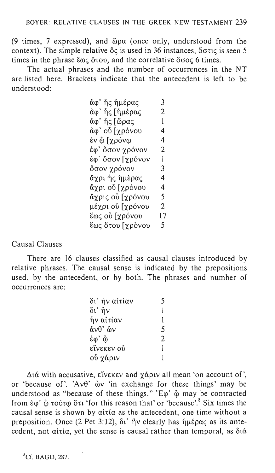(9 times, 7 expressed), and  $\ddot{\omega}$  (once only, understood from the context). The simple relative  $\delta \zeta$  is used in 36 instances,  $\delta \sigma \tau \zeta$  is seen 5 times in the phrase  $\epsilon \omega \varsigma$  orow, and the correlative ooc 6 times.

The actual phrases and the number of occurrences in the NT are listed here. Brackets indicate that the antecedent is left to be understood:

| άφ' ἧς ἡμέρας    | 3              |
|------------------|----------------|
| άφ' ἧς [ἡμέρας   | $\overline{c}$ |
| άφ' ἧς [ὥρας     | I              |
| άφ' οὗ [χρόνου   | 4              |
| ἐν ῷ [χρόνῳ      | 4              |
| έφ' ὅσον χρόνον  | 2              |
| έφ' ὅσον [χρόνον | 1              |
| ὄσον χρόνον      | 3              |
| ἄχρι ἧς ἡμὲρας   | 4              |
| ἄχρι οὗ [χρόνου  | 4              |
| ἄχρις οὗ [χρόνου | 5              |
| μέχρι οὗ [χρόνου | 2              |
| ἕως οὗ [χρόνου   | 17             |
| ἕως ὅτου [χρὸνου | 5              |
|                  |                |

Causal Clauses

There are 16 clauses classified as causal clauses introduced by relative phrases. The causal sense is indicated by the prepositions used, by the antecedent, or by both. The phrases and number of occurrences are:

| δι' ἧν αἰτίαν | 5 |
|---------------|---|
| δι' ήν        | ı |
| ἧν αἰτίαν     | 1 |
| άνθ' ὦν       | 5 |
| έφ' ώ         | 2 |
| εἴνεκεν οὗ    | 1 |
| οὖ χάριν      |   |

 $\Delta t$  with accusative, είνεκεν and  $\gamma \dot{\alpha}$  plv all mean 'on account of', or 'because of'. 'Av $\theta$ '  $\tilde{\omega}$  'in exchange for these things' may be understood as "because of these things." 'E $\varphi$ '  $\varphi$  may be contracted from  $\epsilon \varphi'$   $\tilde{\varphi}$  τούτ $\varphi$  ot 'for this reason that' or 'because'.<sup>8</sup> Six times the causal sense is shown by  $\alpha$ itia as the antecedent, one time without a preposition. Once (2 Pet 3:12),  $\delta i'$  fiv clearly has  $\eta \mu \epsilon \rho \alpha \varsigma$  as its antecedent, not  $\alpha$ *i* tia, yet the sense is causal rather than temporal, as  $\delta t \alpha$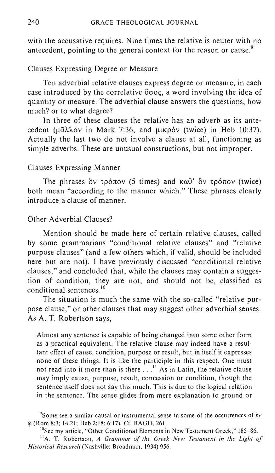with the accusative requires. Nine times the relative is neuter with no antecedent, pointing to the general context for the reason or cause.<sup>9</sup>

## Clauses Expressing Degree or Measure

Ten adverbial relative clauses express degree or measure, in each case introduced by the correlative  $\delta \sigma$ oc, a word involving the idea of quantity or measure. The adverbial clause answers the questions, how much? or to what degree?

**In** three of these clauses the relative has an adverb as its antecedent ( $\mu\tilde{a}\lambda\lambda$ ov in Mark 7:36, and  $\mu$ kpóv (twice) in Heb 10:37). Actually the last two do not involve a clause at all, functioning as simple adverbs. These are unusual constructions, but not improper.

### Clauses Expressing Manner

The phrases  $\delta v$   $\tau \rho \delta \pi \sigma v$  (5 times) and  $\kappa \alpha \theta$   $\delta v$   $\tau \rho \delta \pi \sigma v$  (twice) both mean "according to the manner which." These phrases clearly introduce a clause of manner.

# Other Adverbial Clauses?

Mention should be made here of certain relative clauses, called by some grammarians "conditional relative clauses" and "relative purpose clauses" (and a few others which, if valid, should be included here but are not). I have previously discussed "conditional relative clauses," and concluded that, while the clauses may contain a suggestion of condition, they are not, and should not be, classified as conditional sentences.<sup>10</sup>

The situation is much the same with the so-called "relative purpose clause," or other clauses that may suggest other adverbial senses. As A. T. Robertson says,

Almost any sentence is capable of being changed into some other form as a practical equivalent. The relative clause may indeed have a resultant effect of cause, condition, purpose or result, but in itself it expresses none of these things. It is like the participle in this respect. One must not read into it more than is there . . .<sup>11</sup> As in Latin, the relative clause may imply cause, purpose, result, concession or condition, though the sentence itself does not say this much. This is due to the logical relation in the sentence. The sense glides from mere explanation to ground or

Some see a similar causal or instrumental sense in some of the occurrences of  $\dot{\epsilon}v$  $\&$  (Rom 8:3; 14:21; Heb 2:18: 6:17). Cf. BAGD, 261.

<sup>10</sup>See my article, "Other Conditional Elements in New Testament Greek," 185-86.

 $<sup>11</sup>A$ . T. Robertson, *A Grammar of the Greek New Testament in the Light of*</sup> *Historical Research* (Nashville: Broadman, 1934) 956.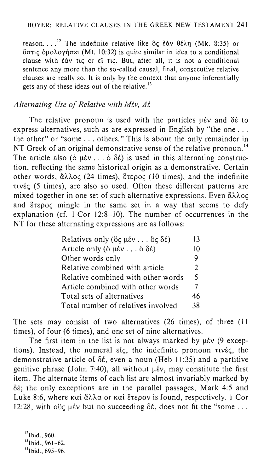reason....<sup>12</sup> The indefinite relative like  $\delta \zeta$   $\varepsilon \dot{\alpha} \nu$   $\theta \dot{\epsilon} \lambda \eta$  (Mk. 8:35) or  $\delta$ στις δμολογήσει (Mt. 10:32) is quite similar in idea to a conditional clause with  $\frac{2}{3}$  it is not a conditional clause with  $\frac{2}{3}$  it is not a conditional sentence any more than the so-called causal, final, consecutive relative clauses are really so. It is only by the context that anyone inferentially gets any of these ideas out of the relative. $^{13}$ 

# *Alternating Use of Relative with Mέv, Δέ*

The relative pronoun is used with the particles  $\mu$ έν and δέ to express alternatives, such as are expressed in English by "the one ... the other" or "some ... others." This is about the only remainder in NT Greek of an original demonstrative sense of the relative pronoun.<sup>14</sup> The article also ( $\delta \mu \varepsilon v$ ...  $\delta \delta \varepsilon$ ) is used in this alternating construction, reflecting the same historical origin as a demonstrative. Certain other words,  $\ddot{\alpha}\lambda\lambda$ Oc (24 times), EtepOc (10 times), and the indefinite  $\tau$ ivé $\zeta$  (5 times), are also so used. Often these different patterns are mixed together in one set of such alternative expressions. Even  $\tilde{\alpha} \lambda \lambda o \zeta$ and Etepoc mingle in the same set in a way that seems to defy explanation (cf. 1 Cor 12:8-10). The number of occurrences in the NT for these alternating expressions are as follows:

| Relatives only ( $\delta \varsigma \mu \epsilon \nu \ldots \delta \varsigma \delta \epsilon$ ) | 13            |
|------------------------------------------------------------------------------------------------|---------------|
| Article only ( $\delta \mu \in V \ldots \delta \delta \in V$ )                                 | 10            |
| Other words only                                                                               | q             |
| Relative combined with article                                                                 | $\mathcal{L}$ |
| Relative combined with other words                                                             | 5.            |
| Article combined with other words                                                              | 7             |
| Total sets of alternatives                                                                     | 46            |
| Total number of relatives involved                                                             | 38            |
|                                                                                                |               |

The sets may consist of two alternatives (26 times), of three (II times), of four (6 times), and one set of nine alternatives.

The first item in the list is not always marked by  $\mu$ έν (9 exceptions). Instead, the numeral  $\varepsilon \zeta$ , the indefinite pronoun  $\tau \nu \varepsilon \zeta$ , the demonstrative article of  $\delta \xi$ , even a noun (Heb 11:35) and a partitive genitive phrase (John 7:40), all without  $\mu \in V$ , may constitute the first item. The alternate items of each list are almost invariably marked by  $\delta \acute{\epsilon}$ ; the only exceptions are in the parallel passages, Mark 4:5 and Luke 8:6, where  $k\alpha i \ddot{\alpha} \lambda \lambda \alpha$  or  $k\alpha i \ddot{\alpha} \tau \dot{\alpha}$  is found, respectively. I Cor 12:28, with over  $\mu \in V$  but no succeeding  $\delta \in \Lambda$ , does not fit the "some ...

 $^{12}$ Ibid., 960.  $13$ Ibid., 961-62.  $14$  Ibid., 695-96.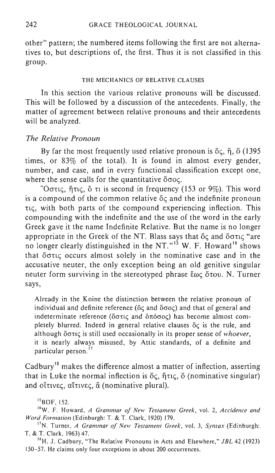other" pattern; the numbered items following the first are not alternatives to, but descriptions of, the first. Thus it is not classified in this group.

#### THE MECHANICS OF RELATIVE CLAUSES

In this section the various relative pronouns will be discussed. This will be followed by a discussion of the antecedents. Finally, the matter of agreement between relative pronouns and their antecedents will be analyzed.

# *The Relative Pronoun*

By far the most frequently used relative pronoun is  $\delta \zeta$ ,  $\eta$ ,  $\delta$  (1395) times, or 83% of the total). It is found in almost every gender, number, and case, and in every functional classification except one, where the sense calls for the quantitative  $\delta \sigma$ oc.

"Octic, fitte,  $\ddot{\text{o}}$  ti is second in frequency (153 or 9%). This word is a compound of the common relative  $\delta c$  and the indefinite pronoun  $\tau$ <sub>i</sub>, with both parts of the compound experiencing inflection. This compounding with the indefinite and the use of the word in the early Greek gave it the name Indefinite Relative. But the name is no longer appropriate in the Greek of the NT. Blass says that  $\delta \zeta$  and  $\delta \sigma \tau \zeta$  "are no longer clearly distinguished in the NT."<sup>15</sup> W. F. Howard<sup>16</sup> shows that ocrn<; occurs almost solely in the nominative case and in the accusative neuter, the only exception being an old genitive singular neuter form surviving in the stereotyped phrase  $\epsilon \omega c$  otov. N. Turner says,

Already in the Koine the distinction between the relative pronoun of individual and definite reference (oc and ooc) and that of general and indeterminate reference ( $\delta\sigma\tau\iota\zeta$  and  $\delta\pi\delta\sigma\sigma\zeta$ ) has become almost completely blurred. Indeed in general relative clauses  $\delta \zeta$  is the rule, and although öotic is still used occasionally in its proper sense of *whoever*, it is nearly always misused, by Attic standards, of a definite and particular person.<sup>17</sup>

Cadbury<sup>18</sup> makes the difference almost a matter of inflection, asserting that in Luke the normal inflection is  $\delta \zeta$ ,  $\eta \tau \zeta$ ,  $\delta$  (nominative singular) and  $o$ itivec,  $o$ itivec,  $\alpha$  (nominative plural).

 $^{15}$ BDF, 152.

<sup>16</sup>W. F. Howard, *A Grammar of New Testament Greek*, vol. 2, *Accidence and Word Formation* (Edinburgh: T. & T. Clark, 1920) 179.

17N. Turner, *A Grammar of New Testament Greek,* vol. 3, *Syntax* (Edinburgh: T. & T. Clark, 1963) 47.

<sup>18</sup>H. J. Cadbury, "The Relative Pronouns in Acts and Elsewhere," JBL 42 (1923) 150-57. He claims only four exceptions in about 200 occurrences.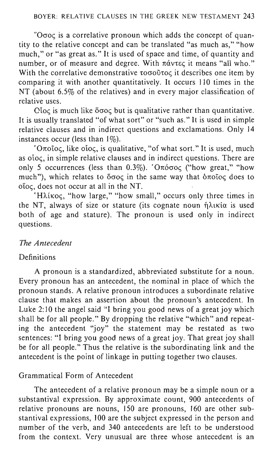" $O\sigma$  $oc$  is a correlative pronoun which adds the concept of quantity to the relative concept and can be translated "as much as," "how much," or "as great as." It is used of space and time, of quantity and number, or of measure and degree. With  $\pi\acute{\alpha}v\tau\epsilon\zeta$  it means "all who." With the correlative demonstrative toooutoc it describes one item by comparing it with another quantitatively. It occurs 110 times in the NT (about 6.5% of the relatives) and in every major classification of relative uses.

 $C$ loc is much like  $\delta \sigma$ oc but is qualitative rather than quantitative. It is usually translated "of what sort" or "such as." It is used in simple relative clauses and in indirect questions and exclamations. Only 14 instances occur (less than  $1\%$ ).

' $O_{\pi0000}$ , like oloc, is qualitative, "of what sort." It is used, much as oloc, in simple relative clauses and in indirect questions. There are only 5 occurrences (less than  $0.3\%$ ). ' $O \pi \acute{o}$  occ<sup>("</sup>how great," "how much"), which relates to  $\delta \sigma o \varsigma$  in the same way that  $\delta \pi o \tilde{\varsigma} o \varsigma$  does to oloc, does not occur at all in the NT.

'Ηλίκος, "how large," "how small," occurs only three times in the NT, always of size or stature (its cognate noun  $\hat{\eta}$ ) and is used both of age and stature). The pronoun is used only in indirect questions.

# *The Antecedent*

# **Definitions**

A pronoun is a standardized, abbreviated substitute for a noun. Every pronoun has an antecedent, the nominal in place of which the pronoun stands. A relative pronoun introduces a subordinate relative clause that makes an assertion about the pronoun's antecedent. In Luke 2:10 the angel said "I bring you good news of a great joy which shall be for all people." By dropping the relative "which" and repeating the antecedent "joy" the statement may be restated as two sentences: "I bring you good news of a great joy. That great joy shall be for all people." Thus the relative is the subordinating link and the antecedent is the point of linkage in putting together two clauses.

# Grammatical Form of Antecedent

The antecedent of a relative pronoun may be a simple noun or a substantival expression. By approximate count, 900 antecedents of relative pronouns are nouns, 150 are pronouns, 160 are other substantival expressions, 100 are the subject expressed in the person and number of the verb, and 340 antecedents are left to be understood from the context. Very unusual are three whose antecedent is an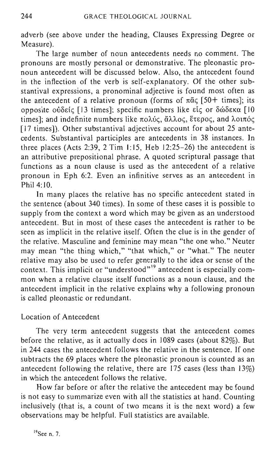adverb (see above under the heading, Clauses Expressing Degree or Measure).

The large number of noun antecedents needs no comment. The pronouns are mostly personal or demonstrative. The pleonastic pronoun antecedent will be discussed below. Also, the antecedent found in the inflection of the verb is self-explanatory. Of the other substantival expressions, a pronominal adjective is found most often as the antecedent of a relative pronoun (forms of  $\pi\tilde{\alpha}$  (50+ times); its opposite οὐδείς [13 times]; specific numbers like εἶς or δώδεκα [10] times]; and indefinite numbers like  $\pi$ o $\lambda$ ύς, ἄλλος, ἕτερος, and λοιπός [17 times]). Other substantival adjectives account for about 25 antecedents. Substantival participles are antecedents in 38 instances. In three places (Acts 2:39, 2 Tim 1:15, Heb  $12:25-26$ ) the antecedent is an attributive prepositional phrase. A quoted scriptural passage that functions as a noun clause is used as the antecedent of a relative pronoun in Eph 6:2. Even an infinitive serves as an antecedent in Phil  $4.10$ .

In many places the relative has no specific antecedent stated in the sentence (about 340 times). In some of these cases it is possible to supply from the context a word which may be given as an understood antecedent. But in most of these cases the antecedent is rather to be seen as implicit in the relative itself. Often the clue is in the gender of the relative. Masculine and feminine may mean "the one who." Neuter may mean "the thing which," "that which," or "what." The neuter relative may also be used to refer generally to the idea or sense of the context. This implicit or "understood"<sup>19</sup> antecedent is especially common when a relative clause itself functions as a noun clause, and the antecedent implicit in the relative explains why a following pronoun is called pleonastic or redundant.

## Location of Antecedent

The very term antecedent suggests that the antecedent comes before the relative, as it actually does in 1089 cases (about 82%). But in 244 cases the antecedent follows the relative in the sentence. If one subtracts the 69 places where the pleonastic pronoun is counted as an antecedent following the relative, there are 175 cases (less than 13%) in which the antecedent follows the relative.

How far before or after the relative the antecedent may be found is not easy to summarize even with all the statistics at hand. Counting inclusively (that is, a count of two means it is the next word) a few observations may be helpful. Full statistics are available.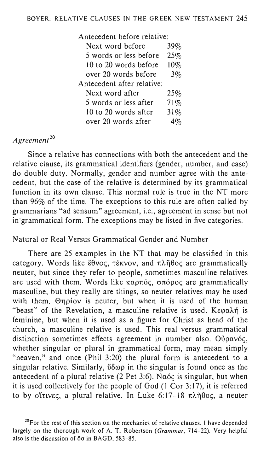| Antecedent before relative: |
|-----------------------------|
| $39\%$                      |
| 25%                         |
| 10%                         |
| $3\%$                       |
|                             |
| 25%                         |
| 71%                         |
| 31%                         |
|                             |
|                             |

# *Agreement* <sup>20</sup>

Since a relative has connections with both the antecedent and the relative clause, its grammatical identifiers (gender, number, and case) do double duty. Normally, gender and number agree with the antecedent, but the case of the relative is determined by its grammatical function in its own clause. This normal rule is true in the NT more than 96% of the time. The exceptions to this rule are often called by grammarians "ad sensum" agreement, i.e., agreement in sense but not in·grammatical form. The exceptions may be listed in five categories.

# Natural or Real Versus Grammatical Gender and Number

There are 25 examples in the NT that may be classified in this category. Words like  $\check{\epsilon} \theta$ νος, τέκνον, and πλήθος are grammatically neuter, but since they refer to people, sometimes masculine relatives are used with them. Words like  $\kappa \alpha \rho \pi \delta \varsigma$ ,  $\sigma \pi \delta \rho \delta \varsigma$  are grammatically masculine, but they really are things, so neuter relatives may be used with them. Onpiov is neuter, but when it is used of the human "beast" of the Revelation, a masculine relative is used. K $\epsilon \varphi$ a $\lambda \eta$  is feminine, but when it is used as a figure for Christ as head of the church, a masculine relative is used. This real versus grammatical distinction sometimes effects agreement in number also. O $\delta \rho \alpha \nu \delta \varsigma$ , whether singular or plural in grammatical form, may mean simply "heaven," and once (Phil 3:20) the plural form is antecedent to a singular relative. Similarly,  $\delta \delta \omega \rho$  in the singular is found once as the antecedent of a plural relative (2 Pet 3:6). Notice is singular, but when it is used collectively for the people of God (I Cor 3: 17), it is referred to by οἴτινες, a plural relative. In Luke 6:17-18 πλῆθος, a neuter

<sup>&</sup>lt;sup>20</sup>For the rest of this section on the mechanics of relative clauses, I have depended largely on the thorough work of A. T. Robertson (Grammar, 714-22). Very helpful also is the discussion of  $\delta\sigma$  in BAGD, 583-85.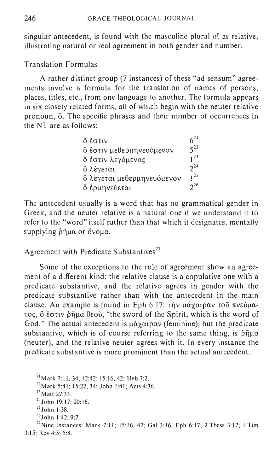singular antecedent, is found with the masculine plural of as relative, illustrating natural or real agreement in both gender and number.

Translation Formulas

A rather distinct group (7 instances) of these "ad sensum" agreements involve a formula for the translation of names of persons, places, titles, etc., from one language to another. The formula appears in six closely related forms, all of which begin with the neuter relative pronoun,  $\ddot{\text{o}}$ . The specific phrases and their number of occurrences in the NT are as follows:

| ὄ ἐστιν                    | $6^{21}$ |
|----------------------------|----------|
| ő εστιν μεθερμηνευόμενον   | $5^{22}$ |
| ὄ ἐστιν λεγόμενος          | $1^{23}$ |
| ὃ λέγεται                  | $2^{24}$ |
| ὃ λὲγεται μεθερμηνευόμενον | $1^{25}$ |
| δ έρμηνεύεται              | $2^{26}$ |

The antecedent usually is a word that has no grammatical gender in Greek, and the neuter relative is a natural one if we understand it to refer to the "word" itself rather than that which it designates, mentally supplying  $\delta\tilde{\eta}\mu\alpha$  or  $\delta$ vo $\mu\alpha$ .

Agreement with Predicate Substantives<sup> $27$ </sup>

Some of the exceptions to the rule of agreement show an agreement of a different kind; the relative clause is a copulative one with a predicate substantive, and the relative agrees in gender with the predicate substantive rather than with the antecedent in the main clause. An example is found in Eph 6:17:  $\tau \nightharpoonup \nu \nu \alpha \gamma \alpha \nu \rho \alpha \nu \tau \nu \delta \nu \alpha$ - $\tau$ o $\zeta$ ,  $\zeta$  έστιν ρήμα θεοῦ, "the sword of the Spirit, which is the word of God." The actual antecedent is  $\mu \alpha \gamma \alpha \rho \alpha \nu$  (feminine), but the predicate substantive, which is of course referring to the same thing, is  $\delta\tilde{\eta}\mu\alpha$ (neuter), and the relative neuter agrees with it. In every instance the predicate substantive is more prominent than the actual antecedent.

21Mark 7:11, 34; 12:42; 15:16,42; Heb 7:2.  $^{22}$ Mark 5:41; 15:22, 34; John 1:41; Acts 4:36. <sup>23</sup> Matt 27:33. 24John 19:17; 20:16.  $25$  John 1:38. 26John 1:42; 9:7. <sup>27</sup> Nine instances: Mark 7:11; 15:16, 42; Gal 3:16; Eph 6:17; 2 Thess 3:17; 1 Tim 3:15; Rev 4:5; 5:8.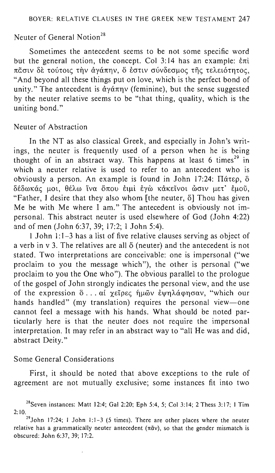# Neuter of General Notion<sup>28</sup>

Sometimes the antecedent seems to be not some specific word but the general notion, the concept. Col 3:14 has an example:  $\dot{\epsilon}$ nt πᾶσιν δε τούτοις την άγάπην, δ έστιν σύνδεσμος της τελειότητος, "And beyond all these things put on love, which is the perfect bond of unity." The antecedent is  $\check{d}$   $\gamma \check{a} \pi \eta \nu$  (feminine), but the sense suggested by the neuter relative seems to be "that thing, quality, which is the uniting bond."

### Neuter of Abstraction

In the NT as also classical Greek, and especially in John's writings, the neuter is frequently used of a person when he is being thought of in an abstract way. This happens at least 6 times<sup>29</sup> in which a neuter relative is used to refer to an antecedent who is obviously a person. An example is found in John 17:24:  $\Pi$  $\alpha$  $\epsilon$  $\rho$ ,  $\delta$  $\delta$ έδωκάς μοι, θέλω ΐνα όπου ειμι εγώ κακείνοι ώσιν μετ' εμού, "Father, I desire that they also whom [the neuter, o] Thou has given Me be with Me where  $I$  am." The antecedent is obviously not impersonal. This abstract neuter is used elsewhere of God (John 4:22) and of men (John 6:37,39; 17:2; I John 5:4).

1 John 1:1-3 has a list of five relative clauses serving as object of a verb in  $v$  3. The relatives are all  $\delta$  (neuter) and the antecedent is not stated. Two interpretations are conceivable: one is impersonal ("we proclaim to you the message which"), the other is personal ("we proclaim to you the One who"). The obvious parallel to the prologue of the gospel of John strongly indicates the personal view, and the use of the expression  $\delta$ ... αι χείρες ήμῶν εψηλάφησαν, "which our hands handled" (my translation) requires the personal view-one cannot feel a message with his hands. What should be noted particularly here is that the neuter does not require the impersonal interpretation. It may refer in an abstract way to "all He was and did, abstract Deity."

### Some General Considerations

First, it should be noted that above exceptions to the rule of agreement are not mutually exclusive; some instances fit into two

<sup>&</sup>lt;sup>28</sup>Seven instances: Matt 12:4; Gal 2:20; Eph 5:4, 5; Col 3:14; 2 Thess 3:17; 1 Tim 2:10.

 $^{29}$ John 17:24; 1 John 1:1-3 (5 times). There are other places where the neuter relative has a grammatically neuter antecedent ( $\pi \tilde{\alpha} v$ ), so that the gender mismatch is obscured: John 6:37, 39; 17:2.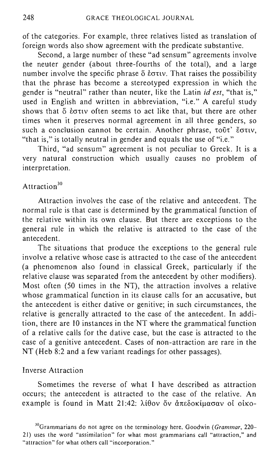of the categories. For example, three relatives listed as translation of foreign words also show agreement with the predicate substantive.

Second, a large number of these "ad sensum" agreements involve the neuter gender (about three-fourths of the total), and a large number involve the specific phrase  $\delta$  *i*  $\sigma$ tv. That raises the possibility that the phrase has become a stereotyped expression in which the gender is "neutral" rather than neuter, like the Latin *id est,* "that is," used in English and written in abbreviation, "i.e." A careful study shows that  $\ddot{\circ}$   $\dot{\circ}$  extry often seems to act like that, but there are other times when it preserves normal agreement in all three genders, so such a conclusion cannot be certain. Another phrase,  $\tau_0$ ut'  $\check{\epsilon}$ o $\tau_1$ v, "that is," is totally neutral in gender and equals the use of "i.e."

Third, "ad sensum" agreement is not peculiar to Greek. It is a very natural construction which usually causes no problem of interpretation.

# Attraction<sup>30</sup>

Attraction involves the case of the relative and antecedent. The normal rule is that case is determined by the grammatical function of the relative within its own clause. But there are exceptions to the general rule in which the relative is attracted to the case of the antecedent.

The situations that produce the exceptions to the general rule involve a relative whose case is attracted to the case of the antecedent (a phenomenon also found in classical Greek, particularly if the relative clause was separated from the antecedent by other modifiers). Most often (50 times in the NT), the attraction involves a relative whose grammatical function in its clause calls for an accusative, but the antecedent is either dative or genitive; in such circumstances, the relative is generally attracted to the case of the antecedent. In addition, there are 10 instances in the NT where the grammatical function of a relative calls for the dative case, but the case is attracted to the case of a genitive antecedent. Cases of non-attraction are rare in the NT (Heb 8:2 and a few variant readings for other passages).

#### Inverse Attraction

Sometimes the reverse of what I have described as attraction occurs; the antecedent is attracted to the case of the relative. An example is found in Matt 21:42: λίθον δν άπεδοκίμασαν οί οίκο-

30Grammarians do not agree on the terminology here. Goodwin *(Grammar, 220-* 21) uses the word "assimilation" for what most grammarians call "attraction," and "attraction" for what others call "incorporation."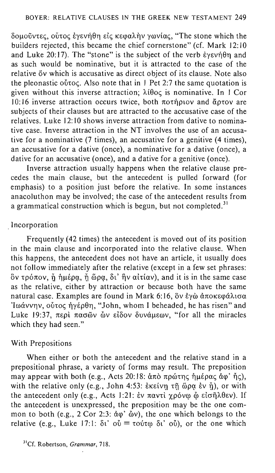Soμοῦντες, οὗτος ἐγενήθη εἰς κεφαλὴν γωνίας, "The stone which the builders rejected, this became the chief cornerstone" (cf. Mark 12: 10 and Luke  $20:17$ ). The "stone" is the subject of the verb Evevnon and as such would be nominative, but it is attracted to the case of the relative  $\delta v$  which is accusative as direct object of its clause. Note also the pleonastic  $\sigma$  over Also note that in 1 Pet 2:7 the same quotation is given without this inverse attraction;  $\lambda$ i $\theta$ oc is nominative. In 1 Cor  $10:16$  inverse attraction occurs twice, both  $\pi$ otil ptov and  $\alpha$ otov are subjects of their clauses but are attracted to the accusative case of the relatives. Luke 12: 10 shows inverse attraction from dative to nominative case. Inverse attraction in the NT involves the use of an accusative for a nominative (7 times), an accusative for a genitive (4 times), an accusative for a dative (once), a nominative for a dative (once), a dative for an accusative (once), and a dative for a genitive (once).

Inverse attraction usually happens when the relative clause precedes the main clause, but the antecedent is pulled forward (for emphasis) to a position just before the relative. In some instances anacoluthon may be involved; the case of the antecedent results from a grammatical construction which is begun, but not completed.<sup>31</sup>

# . Incorporation

Frequently (42 times) the antecedent is moved out of its position in the main clause and incorporated into the relative clause. When this happens, the antecedent does not have an article, it usually does not follow immediately after the relative (except in a few set phrases:  $\delta$ ν τρόπον,  $\check{\eta}$  ήμέρα,  $\check{\eta}$  ώρα, δι' ήν αίτίαν), and it is in the same case as the relative, either by attraction or because both have the same natural case. Examples are found in Mark 6:16, δν έγὼ άποκεφάλισα Iωάννην, ούτος ήγέρθη, "John, whom I beheaded, he has risen" and Luke 19:37,  $\pi \epsilon \rho i$   $\pi \alpha \sigma \tilde{\omega}$ ν  $\tilde{\omega}$ ν είδον δυνάμεων, "for all the miracles which they had seen."

# With Prepositions

When either or both the antecedent and the relative stand in a prepositional phrase, a variety of forms may result. The preposition may appear with both (e.g., Acts 20:18: άπὸ πρώτης ἡμέρας ἀφ' ἦς), with the relative only (e.g., John 4:53: εκείνη τη ώρα εν ή), or with the antecedent only (e.g., Acts 1:21:  $\dot{\epsilon}$ ν παντί γρόνω ὦ εἰσῆλθεν). If the antecedent is unexpressed, the preposition may be the one common to both (e.g.,  $2 \text{Cor } 2.3$ :  $\dot{\alpha} \varphi$ '  $\ddot{\omega}$ v), the one which belongs to the relative (e.g., Luke 17:1:  $\delta t' \circ \delta = \tau \circ \delta \tau \circ \delta$ ), or the one which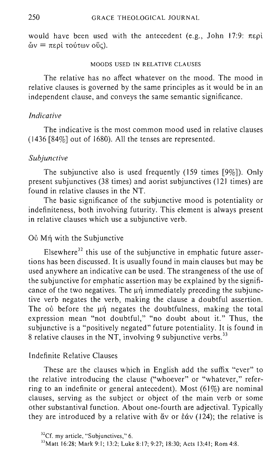would have been used with the antecedent (e.g., John 17:9:  $\pi \epsilon \rho i$ )  $\delta v = \pi \epsilon$ ρί τούτων ούς).

#### MOODS USED IN RELATIVE CLAUSES

The relative has no affect whatever on the mood. The mood in relative clauses is governed by the same principles as it would be in an independent clause, and conveys the same semantic significance.

### *Indicative*

The indicative is the most common mood used in relative clauses (1436 [84%] out of 1680). All the tenses are represented.

#### *Subjunctive*

The subjunctive also is used frequently (159 times  $[9\%]$ ). Only present subjunctives (38 times) and aorist subjunctives (121 times) are found in relative clauses in the NT.

The basic significance of the subjunctive mood is potentiality or indefiniteness, both involving futurity. This element is always present in relative clauses which use a subjunctive verb.

# Oὐ Mή with the Subjunctive

Elsewhere<sup>32</sup> this use of the subjunctive in emphatic future assertions has been discussed. It is usually found in main clauses but may be used anywhere an indicative can be used. The strangeness of the use of the subjunctive for emphatic assertion may be explained by the significance of the two negatives. The  $\mu\eta$  immediately preceding the subjunctive verb negates the verb, making the clause a doubtful assertion. The ou before the  $\mu\eta$  negates the doubtfulness, making the total expression mean "not doubtful," "no doubt about it." Thus, the subjunctive is a "positively negated" future potentiality. It is found in 8 relative clauses in the NT, involving 9 subjunctive verbs.<sup>33</sup>

### Indefinite Relative Clauses

These are the clauses which in English add the suffix "ever" to the relative introducing the clause ("whoever" or "whatever," referring to an indefinite or general antecedent). Most  $(61\%)$  are nominal clauses, serving as the subject or object of the main verb or some other substantival function. About one-fourth are adjectival. Typically they are introduced by a relative with  $\alpha v$  or  $\dot{\epsilon}\alpha v$  (124); the relative is

 $32^3$ Cf. my article, "Subjunctives," 6.

<sup>33</sup>Matt 16:28; Mark 9:1; 13:2; Luke 8:17; 9:27; 18:30; Acts 13:41; Rom 4:8.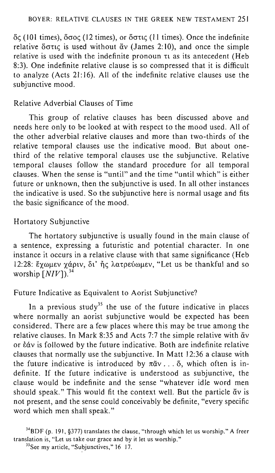oe; (101 times), *oaoe;* (12 times), or oane; (11 times). Once the indefinite relative  $\delta$  otic is used without  $\alpha$  (James 2:10), and once the simple relative is used with the indefinite pronoun  $\tau_1$  as its antecedent (Heb 8:3). One indefinite relative clause is so compressed that it is difficult to analyze (Acts 21: 16). All of the indefinite relative clauses use the subjunctive mood.

# Relative Adverbial Clauses of Time

This group of relative clauses has been discussed above and needs here only to be looked at with respect to the mood used. All of the other adverbial relative clauses and more than two-thirds of the relative temporal clauses use the indicative mood. But about onethird of the relative temporal clauses use the SUbjunctive. Relative temporal clauses follow the standard procedure for all temporal clauses. When the sense is "until" and the time "until which" is either future or unknown, then the subjunctive is used. In all other instances the indicative is used. So the subjunctive here is normal usage and fits the basic significance of the mood.

### Hortatory Subjunctive

The hortatory subjunctive is usually found in the main clause of a sentence, expressing a futuristic and potential character. In one instance it occurs in a relative clause with that same significance (Heb 12:28: έχωμεν χάριν, δι' ής λατρεύωμεν, "Let us be thankful and so worship  $\left\lceil NIV \right\rceil$ <sup>34</sup>

# Future Indicative as Equivalent to Aorist Subjunctive?

In a previous study<sup>35</sup> the use of the future indicative in places where normally an aorist subjunctive would be expected has been considered. There are a few places where this may be true among the relative clauses. In Mark 8:35 and Acts 7:7 the simple relative with  $\ddot{\alpha}v$ or  $\frac{\partial u}{\partial x}$  is followed by the future indicative. Both are indefinite relative clauses that normally use the subjunctive. In Matt 12:36 a clause with the future indicative is introduced by  $\pi \tilde{\alpha} v$ ...  $\tilde{\alpha}$ , which often is indefinite. If the future indicative is understood as subjunctive, the clause would be indefinite and the sense "whatever idle word men should speak." This would fit the context well. But the particle av is not present, and the sense could conceivably be definite, "every specific word which men shall speak."

<sup>34</sup>BDF (p. 191, §377) translates the clause, "through which let us worship." A freer translation is, "Let us take our grace and by it let us worship."

<sup>&</sup>lt;sup>35</sup>See my article, "Subjunctives," 16-17.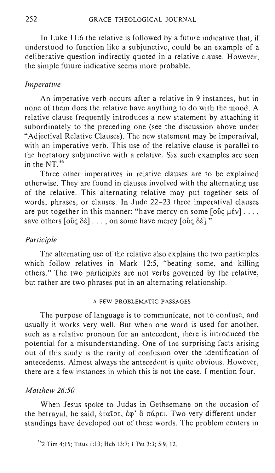In Luke 11:6 the relative is followed by a future indicative that, if understood to function like a subjunctive, could be an example of a deliberative question indirectly quoted in a relative clause. However, the simple future indicative seems more probable.

# *Imperative*

An imperative verb occurs after a relative in 9 instances, but in none of them does the relative have anything to do with the mood. A relative clause frequently introduces a new statement by attaching it subordinately to the preceding one (see the discussion above under "Adjectival Relative Clauses). The new statement may be imperatival, with an imperative verb. This use of the relative clause is parallel to the hortatory subjunctive with a relative. Six such examples are seen in the NT.<sup>36</sup>

Three other imperatives in relative clauses are to be explained otherwise. They are found in clauses involved with the alternating use of the relative. This alternating relative may put together sets of words, phrases, or clauses. In Jude 22-23 three imperatival clauses are put together in this manner: "have mercy on some  $[\text{obj } \mu \text{iv}] \dots$ , save others  $[\overline{\text{obj}} \delta \hat{\epsilon}] \dots$ , on some have mercy  $[\overline{\text{obj}} \delta \hat{\epsilon}]$ ."

## *Participle*

The alternating use of the relative also explains the two participles which follow relatives in Mark 12:5, "beating some, and killing others." The two participles are not verbs governed by the relative, but rather are two phrases put in an alternating relationship.

# A FEW PROBLEMATIC PASSAGES

The purpose of language is to communicate, not to confuse, and usually it works very well. But when one word is used for another, such as a relative pronoun for an antecedent, there is introduced the potential for a misunderstanding. One of the surprising facts arising out of this study is the rarity of confusion over the identification of antecedents. Almost always the antecedent is quite obvious. However, there are a few instances in which this is not the case. I mention four.

#### *Matthew 26:50*

When Jesus spoke to Judas in Gethsemane on the occasion of the betrayal, he said, έταῖρε, ἐφ' ὃ πάρει. Two very different understandings have developed out of these words. The problem centers in

362 Tim 4:15; Titus 1:13; Heb 13:7; 1 Pet 3:3; 5:9,12.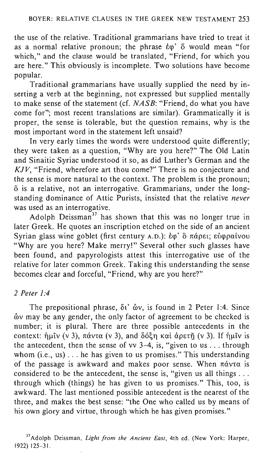the use of the relative. Traditional grammarians have tried to treat it as a normal relative pronoun; the phrase  $\dot{\epsilon}$   $\varphi'$   $\ddot{o}$  would mean "for which," and the clause would be translated, "Friend, for which you are here." This obviously is incomplete. Two solutions have become popular.

Traditional grammarians have usually supplied the need by inserting a verb at the beginning, not expressed but supplied mentally to make sense of the statement (cf. *NASB:* "Friend, do what you have come for"; most recent translations are similar). Grammatically it is proper, the sense is tolerable, but the question remains, why is the most important word in the statement left unsaid?

In very early times the words were understood quite differently; they were taken as a question, "Why are you here?" The Old Latin and Sinaitic Syriac understood it so, as did Luther's German and the KJV, "Friend, wherefore art thou come?" There is no conjecture and the sense is more natural to the context. The problem is the pronoun;  $\ddot{o}$  is a relative, not an interrogative. Grammarians, under the longstanding dominance of Attic Purists, insisted that the relative *never*  was used as an interrogative.

Adolph Deissman<sup>37</sup> has shown that this was no longer true in later Greek. He quotes an inscription etched on the side of an ancient Syrian glass wine goblet (first century A.D.): έφ' ὃ πάρει; εὐφραίνου "Why are you here? Make merry!" Several other such glasses have been found, and papyrologists attest this interrogative use of the relative for later common Greek. Taking this understanding the sense becomes clear and forceful, "Friend, why are you here?"

# *2 Peter 1:4*

The prepositional phrase,  $\delta t$ '  $\delta v$ , is found in 2 Peter 1:4. Since  $\delta v$  may be any gender, the only factor of agreement to be checked is number; it is plural. There are three possible antecedents in the context: ήμιν (v 3), πάντα (v 3), and δόξη και άρετη (v 3). If ήμιν is the antecedent, then the sense of vv  $3-4$ , is, "given to us ... through whom (i.e., us) ... he has given to us promises." This understanding of the passage is awkward and makes poor sense. When  $\pi\acute{\alpha}v\tau\alpha$  is considered to be the antecedent, the sense is, "given us all things . . . through which (things) he has given to us promises." This, too, is awkward. The last mentioned possible antecedent is the nearest of the three, and makes the best sense: "the One who called us by means of his own glory and virtue, through which he has given promises."

37 Adolph Deissman, *Light from the Ancient East,* 4th ed. (New York: Harper, 1922) 125-31.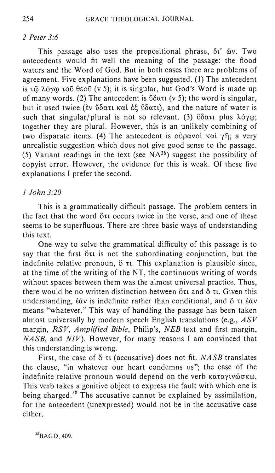# *2 Peter 3:6*

This passage also uses the prepositional phrase,  $\delta t$   $\delta y$ . Two antecedents would fit well the meaning of the passage: the flood waters and the Word of God. But in both cases there are problems of agreement. Five explanations have been suggested. (1) The antecedent is  $\tau$   $\tilde{\omega}$   $\lambda$   $\acute{o}$   $\gamma$   $\omega$   $\tau$   $\ddot{\omega}$   $\theta$   $\dot{\omega}$  (v 5); it is singular, but God's Word is made up of many words. (2) The antecedent is  $\delta \alpha \tau$  (v 5); the word is singular, but it used twice (εν ύδατι και εξ ύδατι), and the nature of water is such that singular/plural is not so relevant. (3)  $\delta \alpha \tau$  plus  $\lambda \delta \gamma \omega$ ; together they are plural. However, this is an unlikely combining of two disparate items. (4) The antecedent is  $\omega$  $\alpha$  voi  $\alpha$   $\alpha$   $\gamma$  $\tilde{\eta}$ ; a very unrealistic suggestion which does not give good sense to the passage. (5) Variant readings in the text (see  $NA^{26}$ ) suggest the possibility of copyist error. However, the evidence for this is weak. Of these five explanations I prefer the second.

# *1 John 3:20*

This is a grammatically difficult passage. The problem centers in the fact that the word otu occurs twice in the verse, and one of these seems to be superfluous. There are three basic ways of understanding this text.

One way to solve the grammatical difficulty of this passage is to say that the first  $\delta \tau$  is not the subordinating conjunction, but the indefinite relative pronoun,  $\delta$   $\tau$ . This explanation is plausible since, at the time of the writing of the NT, the continuous writing of words without spaces between them was the almost universal practice. Thus, there would be no written distinction between  $\delta \tau$  and  $\delta \tau$ . Given this understanding,  $\dot{\epsilon}\dot{\alpha}v$  is indefinite rather than conditional, and  $\ddot{\delta}$  τι  $\dot{\epsilon}\dot{\alpha}v$ means "whatever." This way of handling the passage has been taken almost universally by modern speech English translations (e.g., *ASV*  margin, *RSV, Amplified Bible,* Philip's, *NEB* text and first margin, *NASB,* and *NIV).* However, for many reasons I am convinced that this understanding is wrong.

First, the case of  $\delta \tau$  (accusative) does not fit. *NASB* translates the clause, "in whatever our heart condemns us"; the case of the indefinite relative pronoun would depend on the verb  $\kappa\alpha\tau\alpha\gamma\iota\nu\omega\sigma\kappa\omega$ . This verb takes a genitive object to express the fault with which one is being charged.<sup>38</sup> The accusative cannot be explained by assimilation, for the antecedent (unexpressed) would not be in the accusative case either.

<sup>38</sup>BAGD, 409.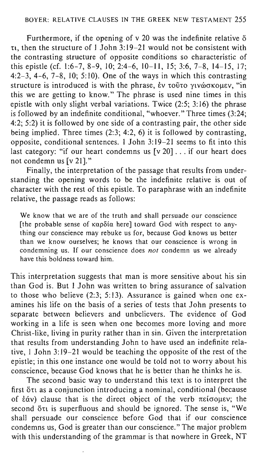Furthermore, if the opening of  $v$  20 was the indefinite relative  $\ddot{o}$  $\tau_1$ , then the structure of 1 John 3:19–21 would not be consistent with the contrasting structure of opposite conditions so characteristic of this epistle (cf. 1:6-7, 8-9, 10; 2:4-6, 10-11, 15; 3:6, 7-8, 14-15, 17; 4:2-3, 4-6, 7-8, 10; 5:10). One of the ways in which this contrasting structure is introduced is with the phrase,  $\dot{\epsilon}$ ν τοῦτο γινώσκομεν, "in this we are getting to know." The phrase is used nine times in this epistle with only slight verbal variations. Twice (2:5; 3:16) the phrase is followed by an indefinite conditional, "whoever." Three times (3:24; 4:2; 5:2) it is followed by one side of a contrasting pair, the other side being implied. Three times (2:3; 4:2, 6) it is followed by contrasting, opposite, conditional sentences. 1 John 3: 19-21 seems to fit into this last category: "if our heart condemns us [v 20]... if our heart does not condemn us [v 21]."

Finally, the interpretation of the passage that results from understanding the opening words to be the indefinite relative is out of character with the rest of this epistle. To paraphrase with an indefinite relative, the passage reads as follows:

We know that we are of the truth and shall persuade our conscience [the probable sense of  $\kappa \alpha \rho \delta \alpha$  here] toward God with respect to anything our conscience may rebuke us for, because God knows us better than we know ourselves; he knows that our conscience is wrong in condemning us. If our conscience does *not* condemn us we already have this boldness toward him.

This interpretation suggests that man is more sensitive about his sin than God is. But 1 John was written to bring assurance of salvation to those who believe (2:3; 5:13). Assurance is gained when one examines his life on the basis of a series of tests that John presents to separate between believers and unbelievers. The evidence of God working in a life is seen when one becomes more loving and more Christ-like, living in purity rather than in sin. Given the interpretation that results from understanding John to have used an indefinite relative, 1 John 3: 19-21 would be teaching the opposite of the rest of the epistle; in this one instance one would be told not to worry about his conscience, because God knows that he is better than he thinks he is.

The second basic way to understand this text is to interpret the first ot as a conjunction introducing a nominal, conditional (because of  $\dot{\epsilon}$   $\dot{\alpha}$ ) clause that is the direct object of the verb  $\pi\epsilon$  is open. second  $\delta \tau$  is superfluous and should be ignored. The sense is, "We shall persuade our conscience before God that if our conscience condemns us, God is greater than our conscience." The major problem with this understanding of the grammar is that nowhere in Greek, NT